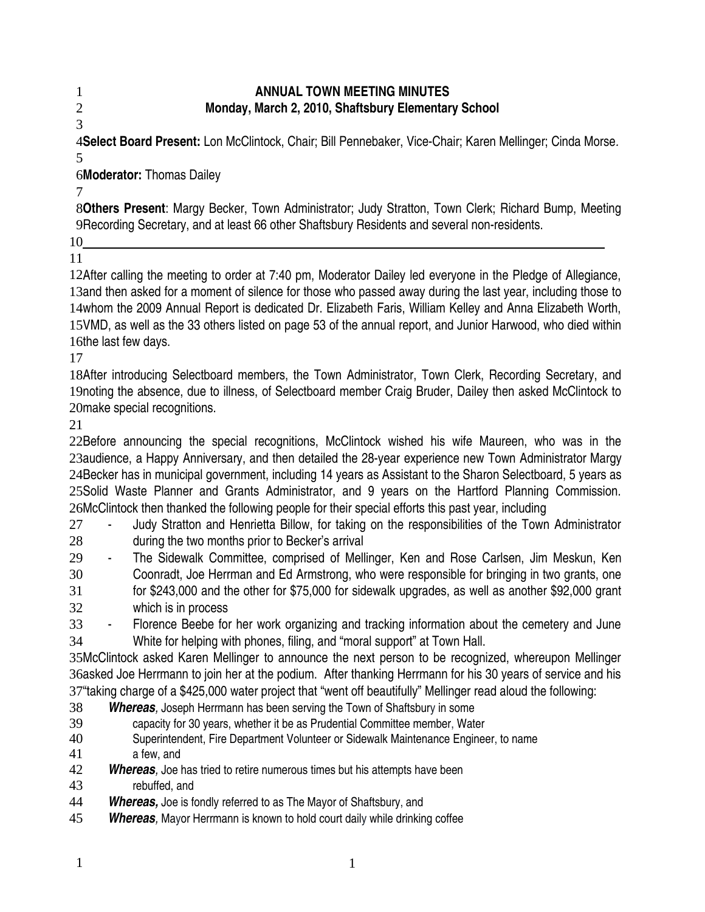## **ANNUAL TOWN MEETING MINUTES Monday, March 2, 2010, Shaftsbury Elementary School**

2 3

1

**Select Board Present:** Lon McClintock, Chair; Bill Pennebaker, Vice-Chair; Karen Mellinger; Cinda Morse*.* 4 5

**Moderator:** Thomas Dailey 6

7

**Others Present**: Margy Becker, Town Administrator; Judy Stratton, Town Clerk; Richard Bump, Meeting 8 9Recording Secretary, and at least 66 other Shaftsbury Residents and several non-residents.

 10 11

12After calling the meeting to order at 7:40 pm, Moderator Dailey led everyone in the Pledge of Allegiance, 13 and then asked for a moment of silence for those who passed away during the last year, including those to 14whom the 2009 Annual Report is dedicated Dr. Elizabeth Faris, William Kelley and Anna Elizabeth Worth, 15VMD, as well as the 33 others listed on page 53 of the annual report, and Junior Harwood, who died within 16the last few days.

17

18After introducing Selectboard members, the Town Administrator, Town Clerk, Recording Secretary, and 19 noting the absence, due to illness, of Selectboard member Craig Bruder, Dailey then asked McClintock to 20make special recognitions.

21

22Before announcing the special recognitions, McClintock wished his wife Maureen, who was in the 23audience, a Happy Anniversary, and then detailed the 28-year experience new Town Administrator Margy 24Becker has in municipal government, including 14 years as Assistant to the Sharon Selectboard, 5 years as 25Solid Waste Planner and Grants Administrator, and 9 years on the Hartford Planning Commission. 26McClintock then thanked the following people for their special efforts this past year, including

- Judy Stratton and Henrietta Billow, for taking on the responsibilities of the Town Administrator during the two months prior to Becker's arrival 27 28
- The Sidewalk Committee, comprised of Mellinger, Ken and Rose Carlsen, Jim Meskun, Ken Coonradt, Joe Herrman and Ed Armstrong, who were responsible for bringing in two grants, one for \$243,000 and the other for \$75,000 for sidewalk upgrades, as well as another \$92,000 grant which is in process 29 30 31 32
- Florence Beebe for her work organizing and tracking information about the cemetery and June 33
- White for helping with phones, filing, and "moral support" at Town Hall. 34

35McClintock asked Karen Mellinger to announce the next person to be recognized, whereupon Mellinger 36asked Joe Herrmann to join her at the podium. After thanking Herrmann for his 30 years of service and his 37"taking charge of a \$425,000 water project that "went off beautifully" Mellinger read aloud the following:

- **Whereas**, Joseph Herrmann has been serving the Town of Shaftsbury in some 38
- capacity for 30 years, whether it be as Prudential Committee member, Water 39
- Superintendent, Fire Department Volunteer or Sidewalk Maintenance Engineer, to name a few, and 40 41
- **Whereas**, Joe has tried to retire numerous times but his attempts have been 42
- rebuffed, and 43
- *Whereas,* Joe is fondly referred to as The Mayor of Shaftsbury, and 44
- *Whereas,* Mayor Herrmann is known to hold court daily while drinking coffee 45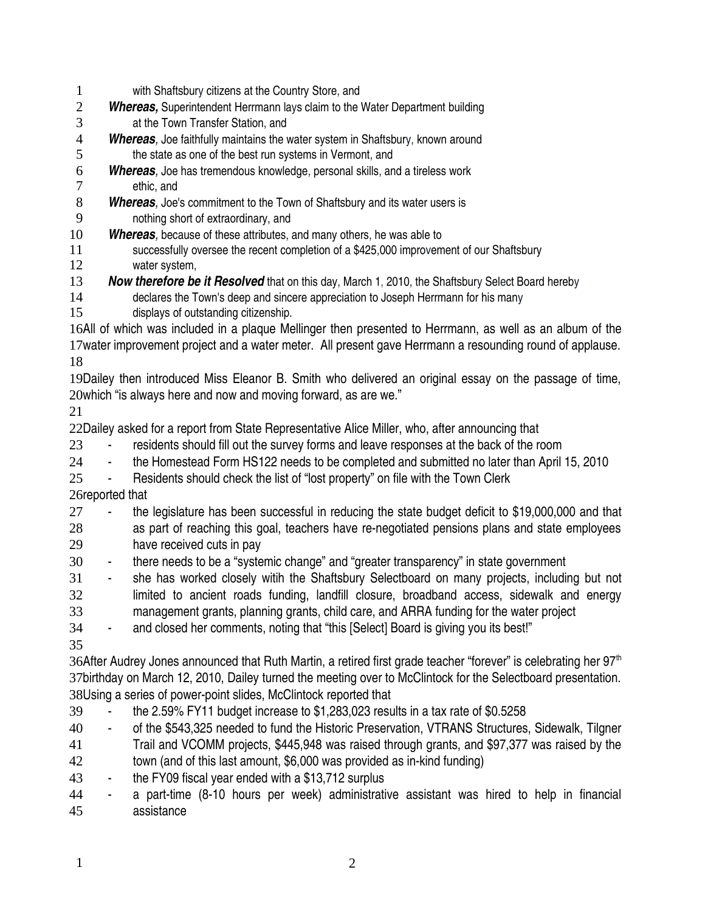- with Shaftsbury citizens at the Country Store, and 1
- *Whereas,* Superintendent Herrmann lays claim to the Water Department building at the Town Transfer Station, and 2 3
- **Whereas**, Joe faithfully maintains the water system in Shaftsbury, known around the state as one of the best run systems in Vermont, and 4 5
- *Whereas,* Joe has tremendous knowledge, personal skills, and a tireless work ethic, and 6 7
- **Whereas**, Joe's commitment to the Town of Shaftsbury and its water users is nothing short of extraordinary, and 8 9
- **Whereas**, because of these attributes, and many others, he was able to 10
- successfully oversee the recent completion of a \$425,000 improvement of our Shaftsbury water system, 11 12
- **Now therefore be it Resolved** that on this day, March 1, 2010, the Shaftsbury Select Board hereby 13
- declares the Town's deep and sincere appreciation to Joseph Herrmann for his many displays of outstanding citizenship. 14 15
- 16All of which was included in a plaque Mellinger then presented to Herrmann, as well as an album of the 17water improvement project and a water meter. All present gave Herrmann a resounding round of applause. 18
- 19Dailey then introduced Miss Eleanor B. Smith who delivered an original essay on the passage of time,  $20$ which "is always here and now and moving forward, as are we."

21

22Dailey asked for a report from State Representative Alice Miller, who, after announcing that

- residents should fill out the survey forms and leave responses at the back of the room 23
- the Homestead Form HS122 needs to be completed and submitted no later than April 15, 2010 24
- Residents should check the list of "lost property" on file with the Town Clerk 25

26reported that

- the legislature has been successful in reducing the state budget deficit to \$19,000,000 and that 27
- as part of reaching this goal, teachers have re-negotiated pensions plans and state employees have received cuts in pay 28 29
- there needs to be a "systemic change" and "greater transparency" in state government 30
- she has worked closely witih the Shaftsbury Selectboard on many projects, including but not limited to ancient roads funding, landfill closure, broadband access, sidewalk and energy management grants, planning grants, child care, and ARRA funding for the water project 31 32 33

- and closed her comments, noting that "this [Select] Board is giving you its best!" 34

35

36After Audrey Jones announced that Ruth Martin, a retired first grade teacher "forever" is celebrating her 97<sup>th</sup> 37birthday on March 12, 2010, Dailey turned the meeting over to McClintock for the Selectboard presentation. 38Using a series of power-point slides, McClintock reported that

- the 2.59% FY11 budget increase to  $$1,283,023$  results in a tax rate of  $$0.5258$ 39
- of the \$543,325 needed to fund the Historic Preservation, VTRANS Structures, Sidewalk, Tilgner 40
- Trail and VCOMM projects, \$445,948 was raised through grants, and \$97,377 was raised by the 41
- town (and of this last amount, \$6,000 was provided as in-kind funding) 42
- the FY09 fiscal year ended with a \$13,712 surplus 43
- a part-time (8-10 hours per week) administrative assistant was hired to help in financial assistance 44 45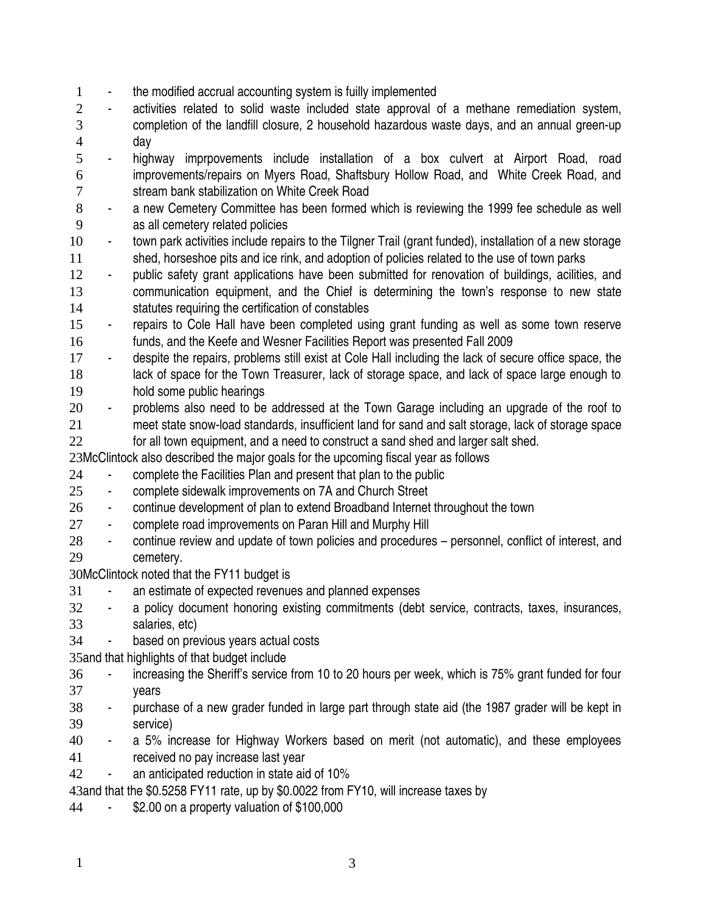- the modified accrual accounting system is fuilly implemented 1
- activities related to solid waste included state approval of a methane remediation system, completion of the landfill closure, 2 household hazardous waste days, and an annual green-up day 2 3 4
- highway imprpovements include installation of a box culvert at Airport Road, road improvements/repairs on Myers Road, Shaftsbury Hollow Road, and White Creek Road, and stream bank stabilization on White Creek Road 5 6 7
- a new Cemetery Committee has been formed which is reviewing the 1999 fee schedule as well as all cemetery related policies 8 9
- town park activities include repairs to the Tilgner Trail (grant funded), installation of a new storage shed, horseshoe pits and ice rink, and adoption of policies related to the use of town parks 10 11
- public safety grant applications have been submitted for renovation of buildings, acilities, and communication equipment, and the Chief is determining the town's response to new state statutes requiring the certification of constables 12 13 14
- repairs to Cole Hall have been completed using grant funding as well as some town reserve funds, and the Keefe and Wesner Facilities Report was presented Fall 2009 15 16
- despite the repairs, problems still exist at Cole Hall including the lack of secure office space, the lack of space for the Town Treasurer, lack of storage space, and lack of space large enough to hold some public hearings 17 18 19
- problems also need to be addressed at the Town Garage including an upgrade of the roof to meet state snow-load standards, insufficient land for sand and salt storage, lack of storage space 20 21
- for all town equipment, and a need to construct a sand shed and larger salt shed. 22

23McClintock also described the major goals for the upcoming fiscal year as follows

- complete the Facilities Plan and present that plan to the public 24
- complete sidewalk improvements on 7A and Church Street 25
- continue development of plan to extend Broadband Internet throughout the town 26
- complete road improvements on Paran Hill and Murphy Hill 27
- continue review and update of town policies and procedures personnel, conflict of interest, and cemetery. 28 29

30McClintock noted that the FY11 budget is

- an estimate of expected revenues and planned expenses 31
- a policy document honoring existing commitments (debt service, contracts, taxes, insurances, salaries, etc) 32 33
- based on previous years actual costs 34

35 and that highlights of that budget include

- increasing the Sheriff's service from 10 to 20 hours per week, which is 75% grant funded for four years 36 37
- purchase of a new grader funded in large part through state aid (the 1987 grader will be kept in service) 38 39
- a 5% increase for Highway Workers based on merit (not automatic), and these employees received no pay increase last year 40 41
- an anticipated reduction in state aid of 10% 42

43and that the \$0.5258 FY11 rate, up by \$0.0022 from FY10, will increase taxes by

\$2.00 on a property valuation of \$100,000 44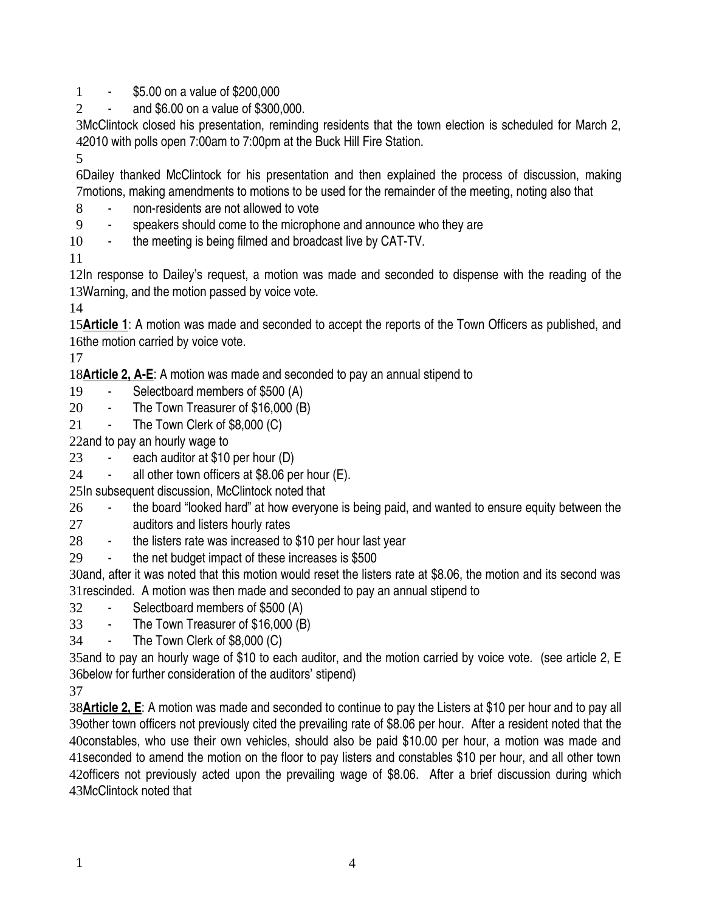- \$5.00 on a value of \$200,000 1
- and \$6.00 on a value of \$300,000.  $\mathcal{L}$

3McClintock closed his presentation, reminding residents that the town election is scheduled for March 2, 2010 with polls open 7:00am to 7:00pm at the Buck Hill Fire Station. 4

5

Dailey thanked McClintock for his presentation and then explained the process of discussion, making 6 7 motions, making amendments to motions to be used for the remainder of the meeting, noting also that

- non-residents are not allowed to vote 8
- speakers should come to the microphone and announce who they are 9
- the meeting is being filmed and broadcast live by CAT-TV. 10

11

12In response to Dailey's request, a motion was made and seconded to dispense with the reading of the 13 Warning, and the motion passed by voice vote.

14

15 Article 1: A motion was made and seconded to accept the reports of the Town Officers as published, and 16the motion carried by voice vote.

17

18 Article 2, A-E: A motion was made and seconded to pay an annual stipend to

- Selectboard members of \$500 (A) 19
- The Town Treasurer of \$16,000 (B) 20
- The Town Clerk of \$8,000 (C) 21

22and to pay an hourly wage to

- each auditor at \$10 per hour (D) 23
- all other town officers at  $$8.06$  per hour (E). 24
- 25In subsequent discussion, McClintock noted that
- the board "looked hard" at how everyone is being paid, and wanted to ensure equity between the 26
- auditors and listers hourly rates 27
- the listers rate was increased to \$10 per hour last year 28
- the net budget impact of these increases is \$500 29

30and, after it was noted that this motion would reset the listers rate at \$8.06, the motion and its second was 31 rescinded. A motion was then made and seconded to pay an annual stipend to

- Selectboard members of \$500 (A) 32
- The Town Treasurer of \$16,000 (B) 33
- The Town Clerk of \$8,000 (C) 34

35 and to pay an hourly wage of \$10 to each auditor, and the motion carried by voice vote. (see article 2, E 36below for further consideration of the auditors' stipend)

37

38**Article 2, E**: A motion was made and seconded to continue to pay the Listers at \$10 per hour and to pay all 39other town officers not previously cited the prevailing rate of \$8.06 per hour. After a resident noted that the 40 constables, who use their own vehicles, should also be paid \$10.00 per hour, a motion was made and 41 seconded to amend the motion on the floor to pay listers and constables \$10 per hour, and all other town 42officers not previously acted upon the prevailing wage of \$8.06. After a brief discussion during which 43McClintock noted that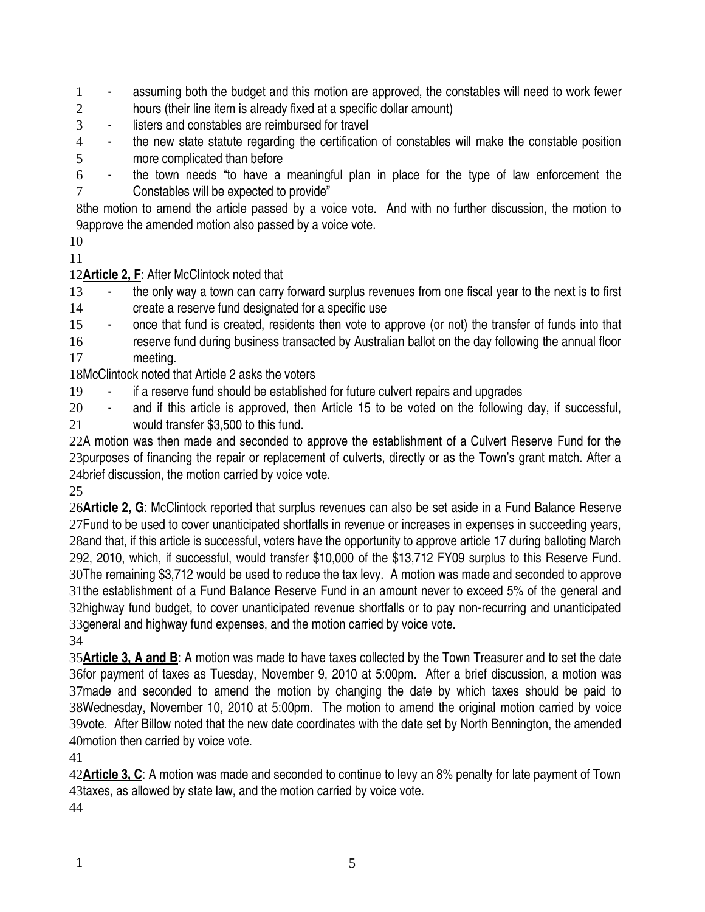- assuming both the budget and this motion are approved, the constables will need to work fewer hours (their line item is already fixed at a specific dollar amount) 1 2

- listers and constables are reimbursed for travel 3
- the new state statute regarding the certification of constables will make the constable position more complicated than before 4 5
- the town needs "to have a meaningful plan in place for the type of law enforcement the Constables will be expected to provide" 6 7

8the motion to amend the article passed by a voice vote. And with no further discussion, the motion to 9approve the amended motion also passed by a voice vote.

10 11

12**Article 2, F**: After McClintock noted that

the only way a town can carry forward surplus revenues from one fiscal year to the next is to first create a reserve fund designated for a specific use 13 14

- once that fund is created, residents then vote to approve (or not) the transfer of funds into that 15

reserve fund during business transacted by Australian ballot on the day following the annual floor meeting. 16 17

18McClintock noted that Article 2 asks the voters

- if a reserve fund should be established for future culvert repairs and upgrades 19

- and if this article is approved, then Article 15 to be voted on the following day, if successful, 20

would transfer \$3,500 to this fund. 21

22A motion was then made and seconded to approve the establishment of a Culvert Reserve Fund for the 23purposes of financing the repair or replacement of culverts, directly or as the Town's grant match. After a 24brief discussion, the motion carried by voice vote.

25

26**Article 2, G**: McClintock reported that surplus revenues can also be set aside in a Fund Balance Reserve 27Fund to be used to cover unanticipated shortfalls in revenue or increases in expenses in succeeding years, 28and that, if this article is successful, voters have the opportunity to approve article 17 during balloting March 292, 2010, which, if successful, would transfer \$10,000 of the \$13,712 FY09 surplus to this Reserve Fund. 30The remaining \$3,712 would be used to reduce the tax levy. A motion was made and seconded to approve 31the establishment of a Fund Balance Reserve Fund in an amount never to exceed 5% of the general and 32highway fund budget, to cover unanticipated revenue shortfalls or to pay non-recurring and unanticipated 33 general and highway fund expenses, and the motion carried by voice vote.

34

35**Article 3, A and B**: A motion was made to have taxes collected by the Town Treasurer and to set the date 36for payment of taxes as Tuesday, November 9, 2010 at 5:00pm. After a brief discussion, a motion was 37made and seconded to amend the motion by changing the date by which taxes should be paid to 38Wednesday, November 10, 2010 at 5:00pm. The motion to amend the original motion carried by voice 39vote. After Billow noted that the new date coordinates with the date set by North Bennington, the amended 40 motion then carried by voice vote.

41

42Article 3, C: A motion was made and seconded to continue to levy an 8% penalty for late payment of Town 43taxes, as allowed by state law, and the motion carried by voice vote.

44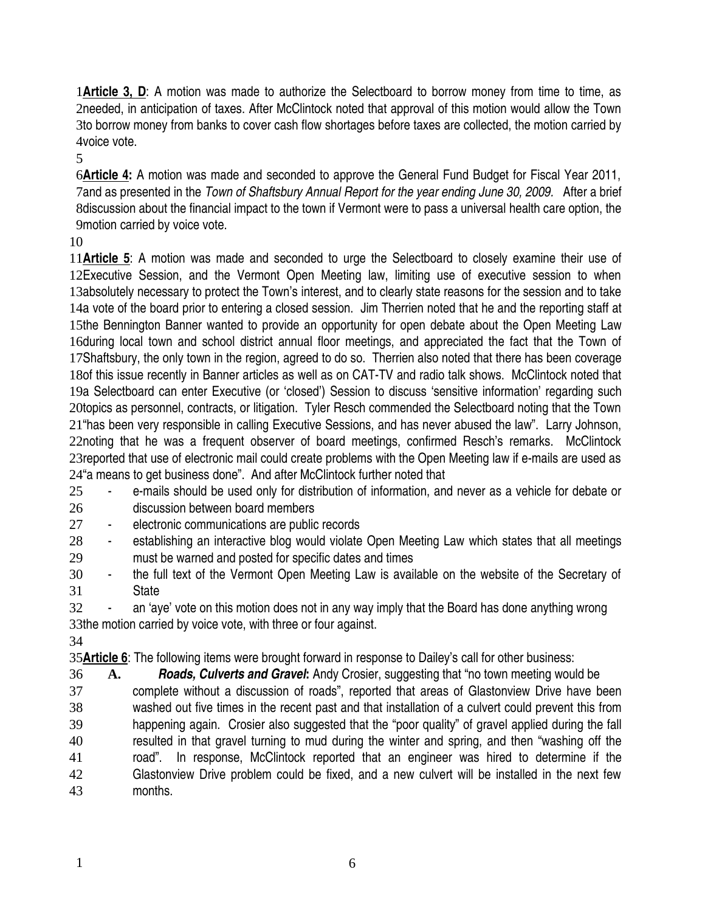1 **Article 3, D**: A motion was made to authorize the Selectboard to borrow money from time to time, as 2needed, in anticipation of taxes. After McClintock noted that approval of this motion would allow the Town 3to borrow money from banks to cover cash flow shortages before taxes are collected, the motion carried by 4voice vote.

5

**Article 4:** A motion was made and seconded to approve the General Fund Budget for Fiscal Year 2011, 6 7and as presented in the *Town of Shaftsbury Annual Report for the year ending June 30, 2009.* After a brief 8discussion about the financial impact to the town if Vermont were to pass a universal health care option, the 9 motion carried by voice vote.

10

11 Article 5: A motion was made and seconded to urge the Selectboard to closely examine their use of 12Executive Session, and the Vermont Open Meeting law, limiting use of executive session to when 13absolutely necessary to protect the Town's interest, and to clearly state reasons for the session and to take 14a vote of the board prior to entering a closed session. Jim Therrien noted that he and the reporting staff at 15the Bennington Banner wanted to provide an opportunity for open debate about the Open Meeting Law 16 during local town and school district annual floor meetings, and appreciated the fact that the Town of 17Shaftsbury, the only town in the region, agreed to do so. Therrien also noted that there has been coverage 18of this issue recently in Banner articles as well as on CAT-TV and radio talk shows. McClintock noted that 19a Selectboard can enter Executive (or 'closed') Session to discuss 'sensitive information' regarding such 20topics as personnel, contracts, or litigation. Tyler Resch commended the Selectboard noting that the Town 21 "has been very responsible in calling Executive Sessions, and has never abused the law". Larry Johnson, 22noting that he was a frequent observer of board meetings, confirmed Resch's remarks. McClintock 23 reported that use of electronic mail could create problems with the Open Meeting law if e-mails are used as 24"a means to get business done". And after McClintock further noted that

- e-mails should be used only for distribution of information, and never as a vehicle for debate or discussion between board members 25 26
- electronic communications are public records 27
- establishing an interactive blog would violate Open Meeting Law which states that all meetings must be warned and posted for specific dates and times 28 29
- the full text of the Vermont Open Meeting Law is available on the website of the Secretary of **State** 30 31
- an 'aye' vote on this motion does not in any way imply that the Board has done anything wrong 33the motion carried by voice vote, with three or four against. 32

34

35**Article 6**: The following items were brought forward in response to Dailey's call for other business:

**A.** *Roads, Culverts and Gravel***:** Andy Crosier, suggesting that "no town meeting would be complete without a discussion of roads", reported that areas of Glastonview Drive have been washed out five times in the recent past and that installation of a culvert could prevent this from happening again. Crosier also suggested that the "poor quality" of gravel applied during the fall resulted in that gravel turning to mud during the winter and spring, and then "washing off the road". In response, McClintock reported that an engineer was hired to determine if the Glastonview Drive problem could be fixed, and a new culvert will be installed in the next few months. 36 37 38 39 40 41 42 43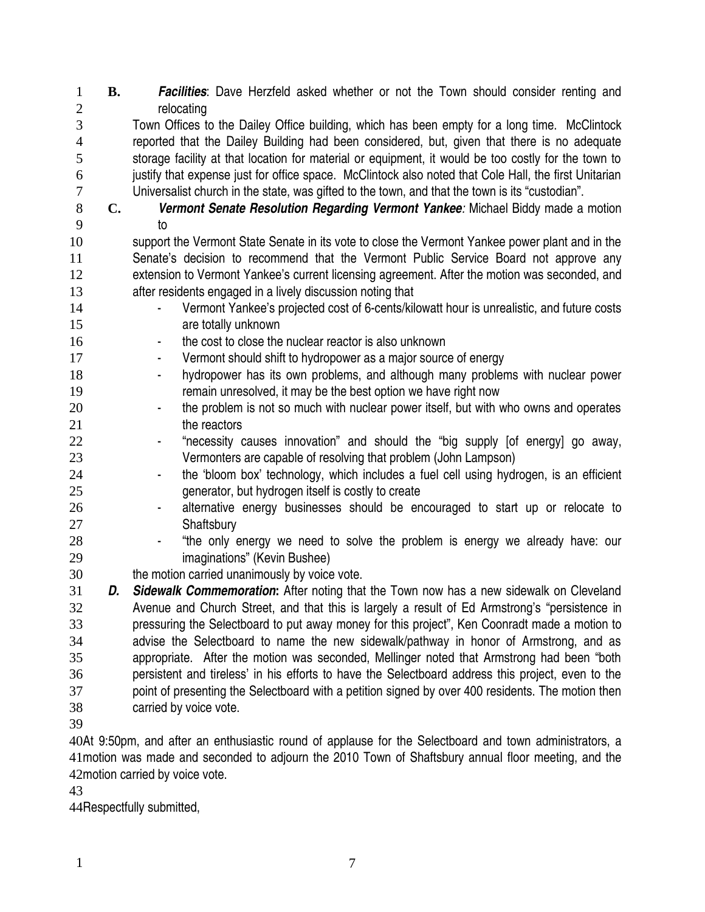**B.** *Facilities*: Dave Herzfeld asked whether or not the Town should consider renting and relocating Town Offices to the Dailey Office building, which has been empty for a long time. McClintock reported that the Dailey Building had been considered, but, given that there is no adequate storage facility at that location for material or equipment, it would be too costly for the town to justify that expense just for office space. McClintock also noted that Cole Hall, the first Unitarian Universalist church in the state, was gifted to the town, and that the town is its "custodian". **C.** *Vermont Senate Resolution Regarding Vermont Yankee:* Michael Biddy made a motion to support the Vermont State Senate in its vote to close the Vermont Yankee power plant and in the Senate's decision to recommend that the Vermont Public Service Board not approve any extension to Vermont Yankee's current licensing agreement. After the motion was seconded, and after residents engaged in a lively discussion noting that Vermont Yankee's projected cost of 6-cents/kilowatt hour is unrealistic, and future costs are totally unknown the cost to close the nuclear reactor is also unknown Vermont should shift to hydropower as a major source of energy hydropower has its own problems, and although many problems with nuclear power remain unresolved, it may be the best option we have right now - the problem is not so much with nuclear power itself, but with who owns and operates the reactors "necessity causes innovation" and should the "big supply [of energy] go away, Vermonters are capable of resolving that problem (John Lampson) - the 'bloom box' technology, which includes a fuel cell using hydrogen, is an efficient generator, but hydrogen itself is costly to create - alternative energy businesses should be encouraged to start up or relocate to **Shaftsbury** - "the only energy we need to solve the problem is energy we already have: our imaginations" (Kevin Bushee) the motion carried unanimously by voice vote. *D. Sidewalk Commemoration***:** After noting that the Town now has a new sidewalk on Cleveland Avenue and Church Street, and that this is largely a result of Ed Armstrong's "persistence in pressuring the Selectboard to put away money for this project", Ken Coonradt made a motion to advise the Selectboard to name the new sidewalk/pathway in honor of Armstrong, and as appropriate. After the motion was seconded, Mellinger noted that Armstrong had been "both persistent and tireless' in his efforts to have the Selectboard address this project, even to the point of presenting the Selectboard with a petition signed by over 400 residents. The motion then carried by voice vote. 40At 9:50pm, and after an enthusiastic round of applause for the Selectboard and town administrators, a 41 motion was made and seconded to adjourn the 2010 Town of Shaftsbury annual floor meeting, and the 1 2 3 4 5 6 7 8 9 10 11 12 13 14 15 16 17 18 19 20 21 22 23 24 25 26 27 28 29 30 31 32 33 34 35 36 37 38 39

42 motion carried by voice vote.

43

44Respectfully submitted,